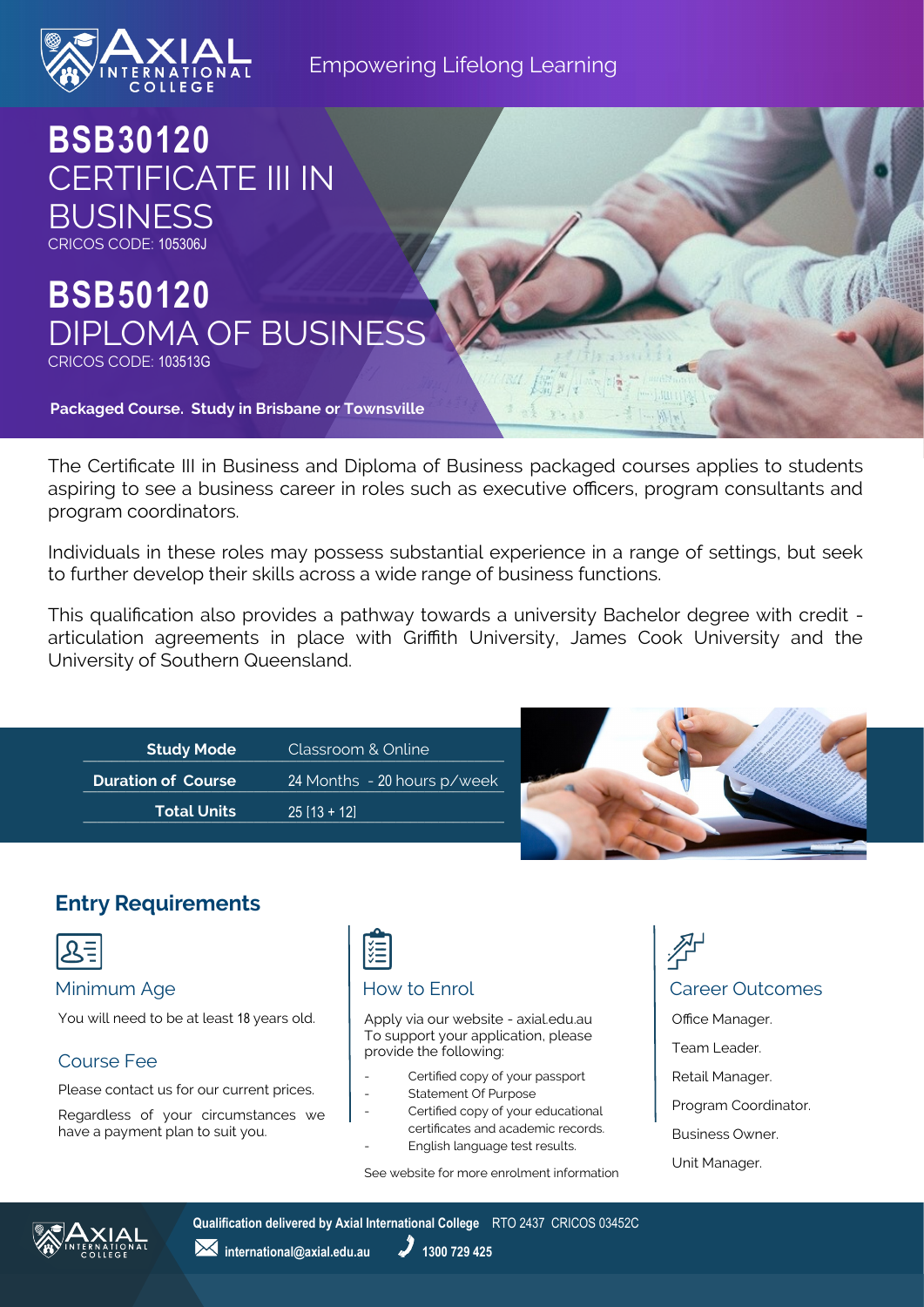

#### Empowering Lifelong Learning

**BSB30120** CERTIFICATE III IN BUSINESS CRICOS CODE: 105306J

# **BSB50120** DIPLOMA OF BUSINESS CRICOS CODE: 103513G

**Packaged Course. Study in Brisbane or Townsville**

The Certificate III in Business and Diploma of Business packaged courses applies to students aspiring to see a business career in roles such as executive officers, program consultants and program coordinators.

Individuals in these roles may possess substantial experience in a range of settings, but seek to further develop their skills across a wide range of business functions.

This qualification also provides a pathway towards a university Bachelor degree with credit articulation agreements in place with Griffith University, James Cook University and the University of Southern Queensland.

| Study Mode                | Classroom & Online          |
|---------------------------|-----------------------------|
| <b>Duration of Course</b> | 24 Months - 20 hours p/week |
| <b>Total Units</b>        | $25$ [13 + 12]              |



## **Entry Requirements**



You will need to be at least 18 years old.

#### Course Fee

Please contact us for our current prices.

Regardless of your circumstances we have a payment plan to suit you.

# 淄

Apply via our website - axial.edu.au To support your application, please provide the following:

- Certified copy of your passport
- Statement Of Purpose
- Certified copy of your educational certificates and academic records.
- English language test results.

See website for more enrolment information

Minimum Age **How to Enrol** How to Enrol **Career Outcomes** Office Manager. Team Leader. Retail Manager. Program Coordinator. Business Owner.





**Qualification delivered by Axial International College** RTO 2437 CRICOS 03452C

*M* international@axial.edu.au **1300 729 425**